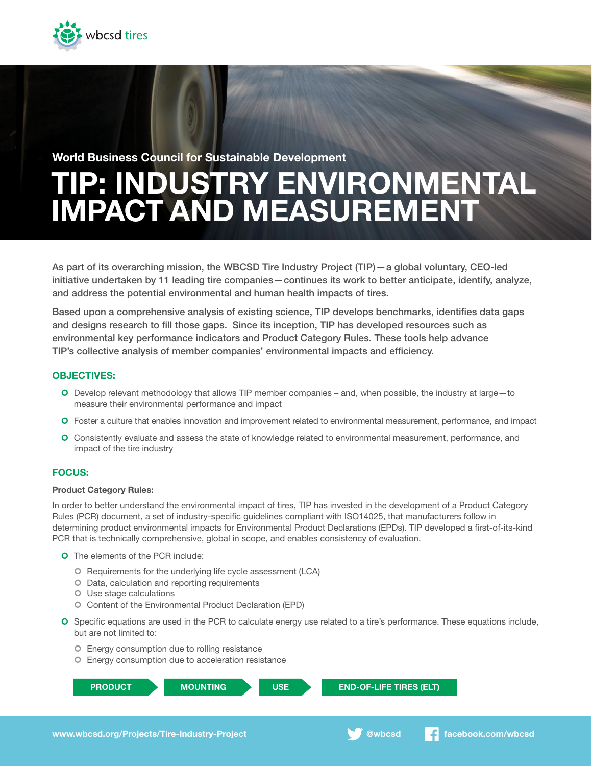

# TIP: INDUSTRY ENVIRONMENTAL IMPACT AND MEASUREMENT World Business Council for Sustainable Development

As part of its overarching mission, the WBCSD Tire Industry Project (TIP)—a global voluntary, CEO-led initiative undertaken by 11 leading tire companies—continues its work to better anticipate, identify, analyze, and address the potential environmental and human health impacts of tires.

Based upon a comprehensive analysis of existing science, TIP develops benchmarks, identifies data gaps and designs research to fill those gaps. Since its inception, TIP has developed resources such as environmental key performance indicators and Product Category Rules. These tools help advance TIP's collective analysis of member companies' environmental impacts and efficiency.

# OBJECTIVES:

- ¢ Develop relevant methodology that allows TIP member companies and, when possible, the industry at large—to measure their environmental performance and impact
- ¢ Foster a culture that enables innovation and improvement related to environmental measurement, performance, and impact
- ¢ Consistently evaluate and assess the state of knowledge related to environmental measurement, performance, and impact of the tire industry

# FOCUS:

## Product Category Rules:

In order to better understand the environmental impact of tires, TIP has invested in the development of a Product Category Rules (PCR) document, a set of industry-specific guidelines compliant with ISO14025, that manufacturers follow in determining product environmental impacts for Environmental Product Declarations (EPDs). TIP developed a first-of-its-kind PCR that is technically comprehensive, global in scope, and enables consistency of evaluation.

- **O** The elements of the PCR include:
	- ¢ Requirements for the underlying life cycle assessment (LCA)
	- ¢ Data, calculation and reporting requirements
	- ¢ Use stage calculations
	- ¢ Content of the Environmental Product Declaration (EPD)
- ¢ Specific equations are used in the PCR to calculate energy use related to a tire's performance. These equations include, but are not limited to:
	- ¢ Energy consumption due to rolling resistance
	- ¢ Energy consumption due to acceleration resistance

```
PRODUCT MOUNTING USE END-OF-LIFE TIRES (ELT)
```